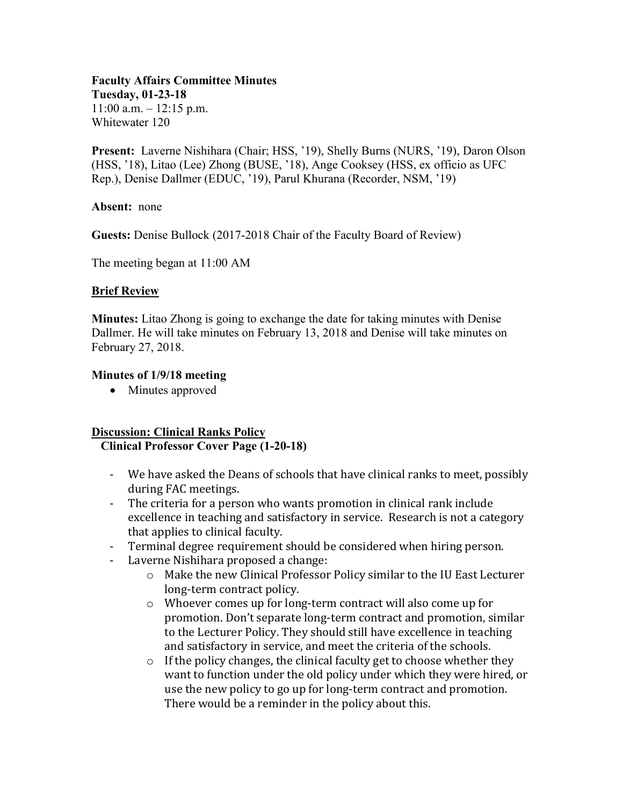#### **Faculty Affairs Committee Minutes Tuesday, 01-23-18**  $11:00$  a.m.  $-12:15$  p.m. Whitewater 120

**Present:** Laverne Nishihara (Chair; HSS, '19), Shelly Burns (NURS, '19), Daron Olson (HSS, '18), Litao (Lee) Zhong (BUSE, '18), Ange Cooksey (HSS, ex officio as UFC Rep.), Denise Dallmer (EDUC, '19), Parul Khurana (Recorder, NSM, '19)

#### **Absent:** none

**Guests:** Denise Bullock (2017-2018 Chair of the Faculty Board of Review)

The meeting began at 11:00 AM

### **Brief Review**

**Minutes:** Litao Zhong is going to exchange the date for taking minutes with Denise Dallmer. He will take minutes on February 13, 2018 and Denise will take minutes on February 27, 2018.

### **Minutes of 1/9/18 meeting**

• Minutes approved

#### **Discussion: Clinical Ranks Policy Clinical Professor Cover Page (1-20-18)**

- We have asked the Deans of schools that have clinical ranks to meet, possibly during FAC meetings.
- The criteria for a person who wants promotion in clinical rank include excellence in teaching and satisfactory in service. Research is not a category that applies to clinical faculty.
- Terminal degree requirement should be considered when hiring person.
- Laverne Nishihara proposed a change:
	- o Make the new Clinical Professor Policy similar to the IU East Lecturer long-term contract policy.
	- o Whoever comes up for long-term contract will also come up for promotion. Don't separate long-term contract and promotion, similar to the Lecturer Policy. They should still have excellence in teaching and satisfactory in service, and meet the criteria of the schools.
	- o If the policy changes, the clinical faculty get to choose whether they want to function under the old policy under which they were hired, or use the new policy to go up for long-term contract and promotion. There would be a reminder in the policy about this.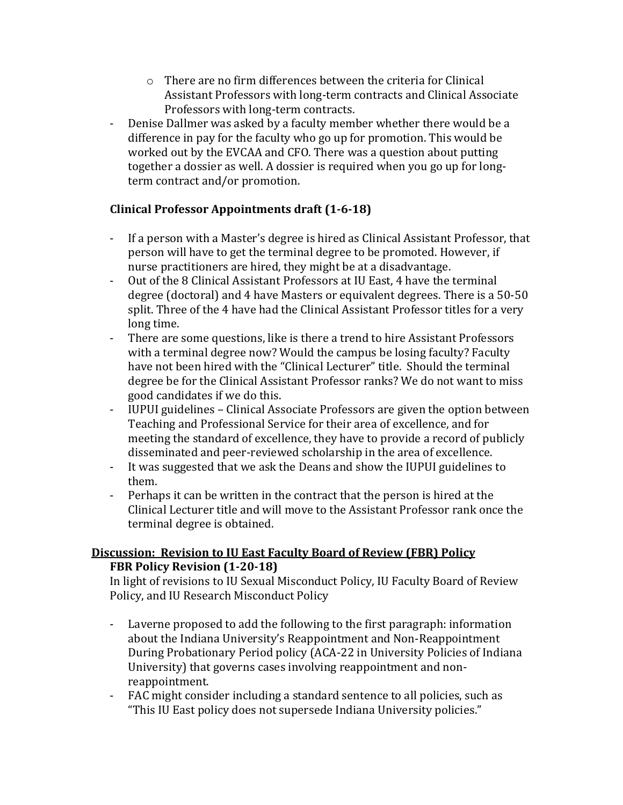- o There are no firm differences between the criteria for Clinical Assistant Professors with long-term contracts and Clinical Associate Professors with long-term contracts.
- Denise Dallmer was asked by a faculty member whether there would be a difference in pay for the faculty who go up for promotion. This would be worked out by the EVCAA and CFO. There was a question about putting together a dossier as well. A dossier is required when you go up for longterm contract and/or promotion.

# **Clinical Professor Appointments draft (1-6-18)**

- If a person with a Master's degree is hired as Clinical Assistant Professor, that person will have to get the terminal degree to be promoted. However, if nurse practitioners are hired, they might be at a disadvantage.
- Out of the 8 Clinical Assistant Professors at IU East, 4 have the terminal degree (doctoral) and 4 have Masters or equivalent degrees. There is a 50-50 split. Three of the 4 have had the Clinical Assistant Professor titles for a very long time.
- There are some questions, like is there a trend to hire Assistant Professors with a terminal degree now? Would the campus be losing faculty? Faculty have not been hired with the "Clinical Lecturer" title. Should the terminal degree be for the Clinical Assistant Professor ranks? We do not want to miss good candidates if we do this.
- IUPUI guidelines Clinical Associate Professors are given the option between Teaching and Professional Service for their area of excellence, and for meeting the standard of excellence, they have to provide a record of publicly disseminated and peer-reviewed scholarship in the area of excellence.
- It was suggested that we ask the Deans and show the IUPUI guidelines to them.
- Perhaps it can be written in the contract that the person is hired at the Clinical Lecturer title and will move to the Assistant Professor rank once the terminal degree is obtained.

# **Discussion: Revision to IU East Faculty Board of Review (FBR) Policy FBR Policy Revision (1-20-18)**

In light of revisions to IU Sexual Misconduct Policy, IU Faculty Board of Review Policy, and IU Research Misconduct Policy

- Laverne proposed to add the following to the first paragraph: information about the Indiana University's Reappointment and Non-Reappointment During Probationary Period policy (ACA-22 in University Policies of Indiana University) that governs cases involving reappointment and nonreappointment.
- FAC might consider including a standard sentence to all policies, such as "This IU East policy does not supersede Indiana University policies."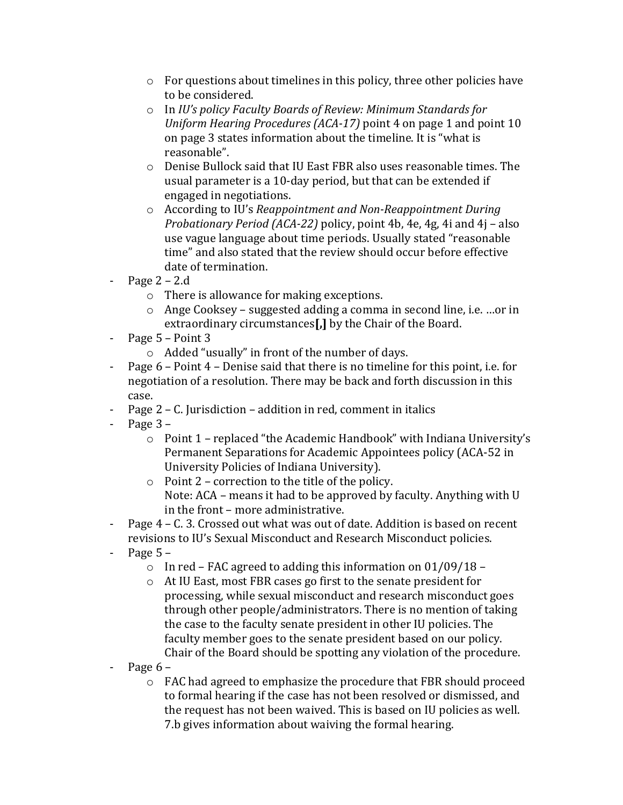- o For questions about timelines in this policy, three other policies have to be considered.
- o In *IU's policy Faculty Boards of Review: Minimum Standards for Uniform Hearing Procedures (ACA-17)* point 4 on page 1 and point 10 on page 3 states information about the timeline. It is "what is reasonable".
- o Denise Bullock said that IU East FBR also uses reasonable times. The usual parameter is a 10-day period, but that can be extended if engaged in negotiations.
- o According to IU's *Reappointment and Non-Reappointment During Probationary Period (ACA-22)* policy, point 4b, 4e, 4g, 4i and 4j – also use vague language about time periods. Usually stated "reasonable time" and also stated that the review should occur before effective date of termination.
- Page  $2 2.d$ 
	- o There is allowance for making exceptions.
	- o Ange Cooksey suggested adding a comma in second line, i.e. …or in extraordinary circumstances**[,]** by the Chair of the Board.
- Page 5 Point 3
	- o Added "usually" in front of the number of days.
- Page 6 Point 4 Denise said that there is no timeline for this point, i.e. for negotiation of a resolution. There may be back and forth discussion in this case.
- Page 2 C. Jurisdiction addition in red, comment in italics
- $-$  Page  $3 -$ 
	- $\circ$  Point 1 replaced "the Academic Handbook" with Indiana University's Permanent Separations for Academic Appointees policy (ACA-52 in University Policies of Indiana University).
	- o Point 2 correction to the title of the policy. Note: ACA – means it had to be approved by faculty. Anything with U in the front – more administrative.
- Page 4 C. 3. Crossed out what was out of date. Addition is based on recent revisions to IU's Sexual Misconduct and Research Misconduct policies.
- Page  $5 -$ 
	- $\circ$  In red FAC agreed to adding this information on 01/09/18 –
	- o At IU East, most FBR cases go first to the senate president for processing, while sexual misconduct and research misconduct goes through other people/administrators. There is no mention of taking the case to the faculty senate president in other IU policies. The faculty member goes to the senate president based on our policy. Chair of the Board should be spotting any violation of the procedure.
- Page  $6$ 
	- o FAC had agreed to emphasize the procedure that FBR should proceed to formal hearing if the case has not been resolved or dismissed, and the request has not been waived. This is based on IU policies as well. 7.b gives information about waiving the formal hearing.